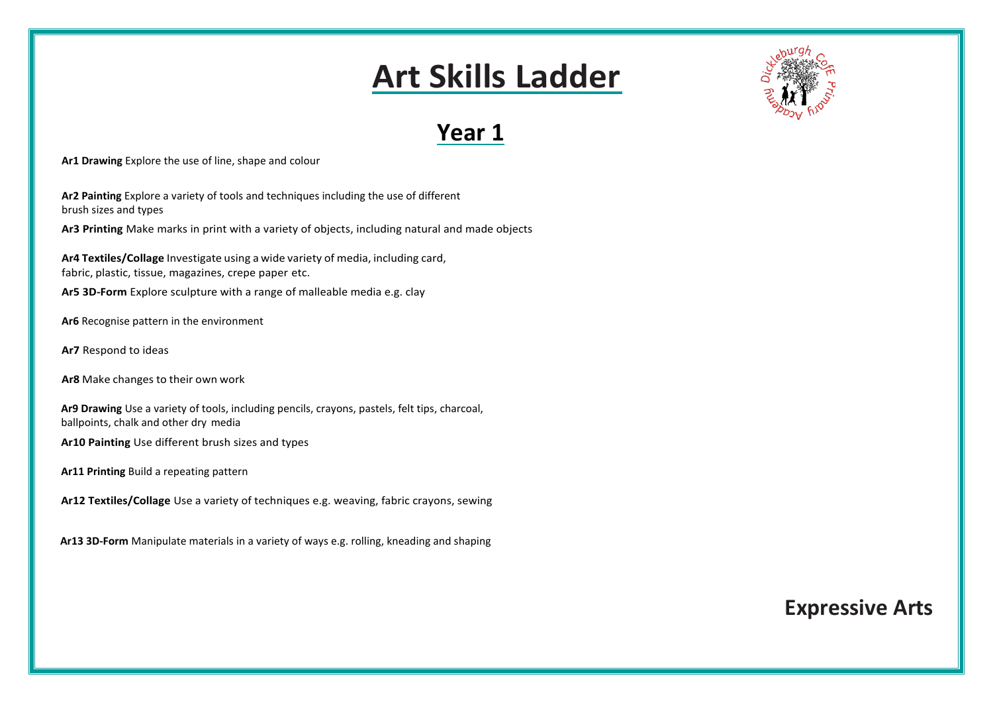

**Ar1 Drawing** Explore the use of line, shape and colour

**Ar2 Painting** Explore a variety of tools and techniques including the use of different brush sizes and types

**Ar3 Printing** Make marks in print with a variety of objects, including natural and made objects

**Ar4 Textiles/Collage** Investigate using a wide variety of media, including card, fabric, plastic, tissue, magazines, crepe paper etc.

**Ar5 3D-Form** Explore sculpture with a range of malleable media e.g. clay

- **Ar6** Recognise pattern in the environment
- **Ar7** Respond to ideas

**Ar8** Make changes to their own work

**Ar9 Drawing** Use a variety of tools, including pencils, crayons, pastels, felt tips, charcoal, ballpoints, chalk and other dry media

**Ar10 Painting** Use different brush sizes and types

**Ar11 Printing** Build a repeating pattern

**Ar12 Textiles/Collage** Use a variety of techniques e.g. weaving, fabric crayons, sewing

 **Ar13 3D-Form** Manipulate materials in a variety of ways e.g. rolling, kneading and shaping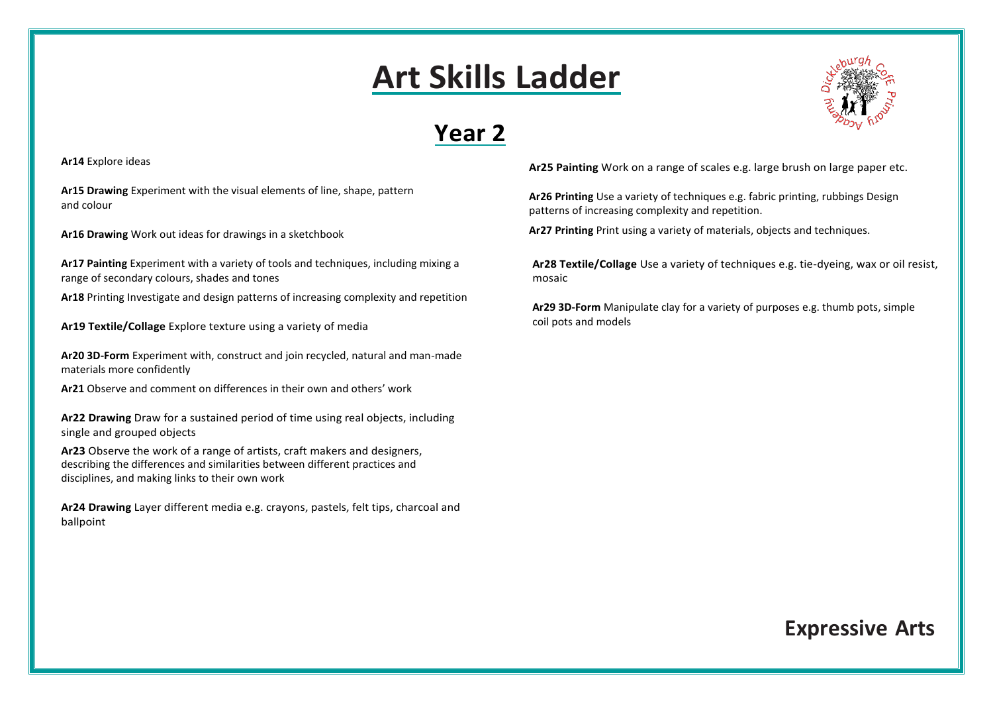### **Year 2**

**Ar14** Explore ideas

**Ar15 Drawing** Experiment with the visual elements of line, shape, pattern and colour

**Ar16 Drawing** Work out ideas for drawings in a sketchbook

**Ar17 Painting** Experiment with a variety of tools and techniques, including mixing a range of secondary colours, shades and tones

**Ar18** Printing Investigate and design patterns of increasing complexity and repetition

**Ar19 Textile/Collage** Explore texture using a variety of media

**Ar20 3D-Form** Experiment with, construct and join recycled, natural and man-made materials more confidently

**Ar21** Observe and comment on differences in their own and others' work

**Ar22 Drawing** Draw for a sustained period of time using real objects, including single and grouped objects

**Ar23** Observe the work of a range of artists, craft makers and designers, describing the differences and similarities between different practices and disciplines, and making links to their own work

**Ar24 Drawing** Layer different media e.g. crayons, pastels, felt tips, charcoal and ballpoint



**Ar25 Painting** Work on a range of scales e.g. large brush on large paper etc.

**Ar26 Printing** Use a variety of techniques e.g. fabric printing, rubbings Design patterns of increasing complexity and repetition.

**Ar27 Printing** Print using a variety of materials, objects and techniques.

**Ar28 Textile/Collage** Use a variety of techniques e.g. tie-dyeing, wax or oil resist, mosaic

**Ar29 3D-Form** Manipulate clay for a variety of purposes e.g. thumb pots, simple coil pots and models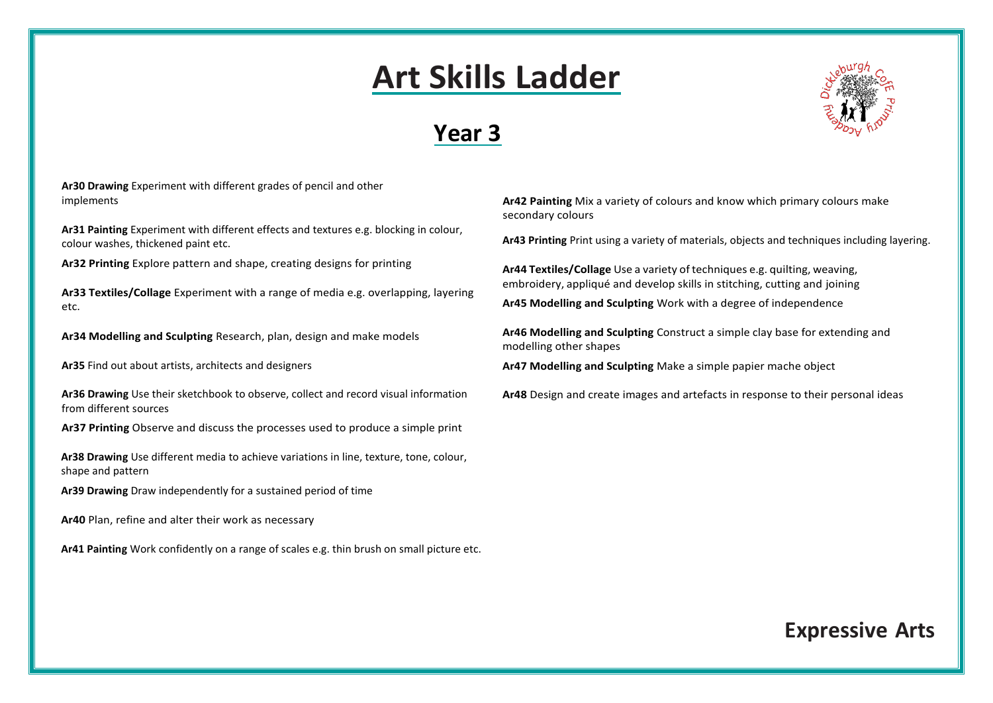### **Year 3**



**Ar30 Drawing** Experiment with different grades of pencil and other implements

**Ar31 Painting** Experiment with different effects and textures e.g. blocking in colour, colour washes, thickened paint etc.

**Ar32 Printing** Explore pattern and shape, creating designs for printing

**Ar33 Textiles/Collage** Experiment with a range of media e.g. overlapping, layering etc.

**Ar34 Modelling and Sculpting** Research, plan, design and make models

**Ar35** Find out about artists, architects and designers

**Ar36 Drawing** Use their sketchbook to observe, collect and record visual information from different sources

**Ar37 Printing** Observe and discuss the processes used to produce a simple print

**Ar38 Drawing** Use different media to achieve variations in line, texture, tone, colour, shape and pattern

**Ar39 Drawing** Draw independently for a sustained period of time

**Ar40** Plan, refine and alter their work as necessary

**Ar41 Painting** Work confidently on a range of scales e.g. thin brush on small picture etc.

**Ar42 Painting** Mix a variety of colours and know which primary colours make secondary colours

**Ar43 Printing** Print using a variety of materials, objects and techniques including layering.

**Ar44 Textiles/Collage** Use a variety oftechniques e.g. quilting, weaving, embroidery, appliqué and develop skills in stitching, cutting and joining

**Ar45 Modelling and Sculpting** Work with a degree of independence

**Ar46 Modelling and Sculpting** Construct a simple clay base for extending and modelling other shapes

**Ar47 Modelling and Sculpting** Make a simple papier mache object

**Ar48** Design and create images and artefacts in response to their personal ideas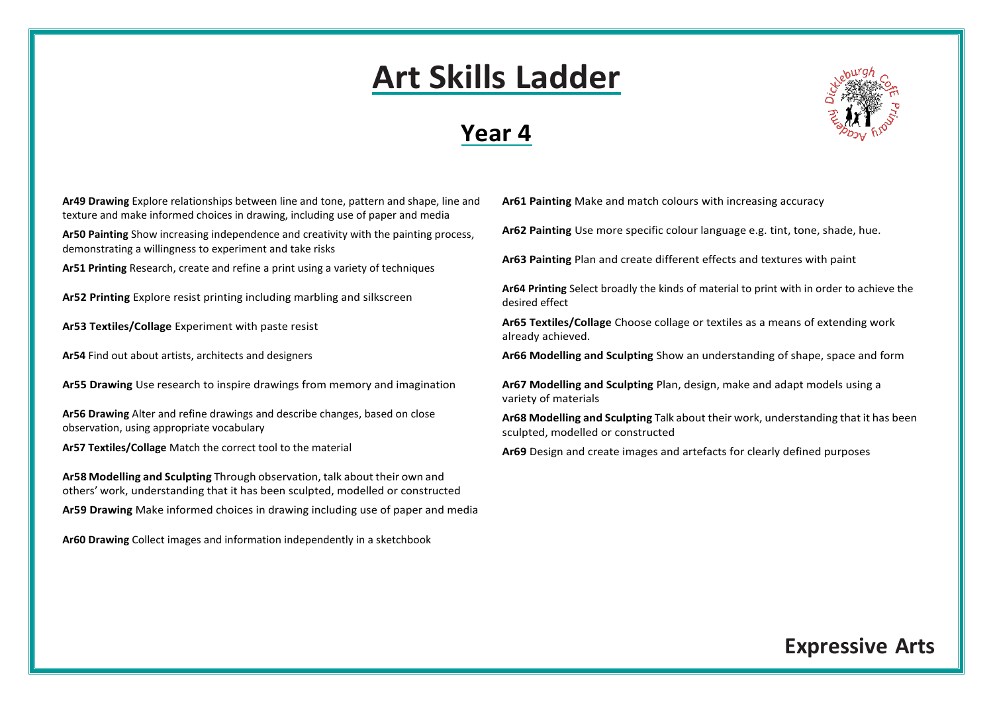#### **Year 4**



**Ar49 Drawing** Explore relationships between line and tone, pattern and shape, line and texture and make informed choices in drawing, including use of paper and media

**Ar50 Painting** Show increasing independence and creativity with the painting process, demonstrating a willingness to experiment and take risks

**Ar51 Printing** Research, create and refine a print using a variety of techniques

**Ar52 Printing** Explore resist printing including marbling and silkscreen

**Ar53 Textiles/Collage** Experiment with paste resist

**Ar54** Find out about artists, architects and designers

**Ar55 Drawing** Use research to inspire drawings from memory and imagination

**Ar56 Drawing** Alter and refine drawings and describe changes, based on close observation, using appropriate vocabulary

**Ar57 Textiles/Collage** Match the correct tool to the material

**Ar58 Modelling and Sculpting** Through observation, talk about their own and others' work, understanding that it has been sculpted, modelled or constructed **Ar59 Drawing** Make informed choices in drawing including use of paper and media

**Ar60 Drawing** Collect images and information independently in a sketchbook

**Ar61 Painting** Make and match colours with increasing accuracy

**Ar62 Painting** Use more specific colour language e.g. tint, tone, shade, hue.

**Ar63 Painting** Plan and create different effects and textures with paint

**Ar64 Printing** Select broadly the kinds of material to print with in order to achieve the desired effect

**Ar65 Textiles/Collage** Choose collage or textiles as a means of extending work already achieved.

**Ar66 Modelling and Sculpting** Show an understanding of shape, space and form

**Ar67 Modelling and Sculpting** Plan, design, make and adapt models using a variety of materials

**Ar68 Modelling and Sculpting** Talk about their work, understanding that it has been sculpted, modelled or constructed

**Ar69** Design and create images and artefacts for clearly defined purposes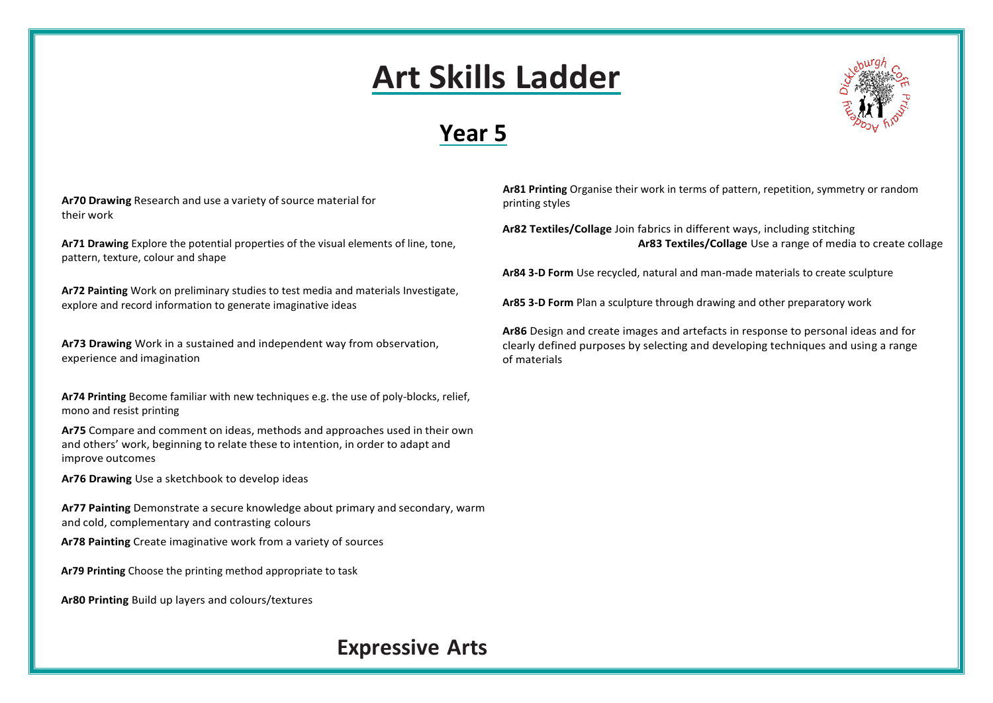### **Year 5**



Ar70 Drawing Research and use a variety of source material for their work

**Ar71 Drawing** Explore the potential properties of the visual elements of line, tone, pattern, texture, colour and shape

**Ar72 Painting** Work on preliminary studies to test media and materials Investigate, explore and record information to generate imaginative ideas

**Ar73 Drawing** Work in a sustained and independent way from observation, experience and imagination

**Ar74 Printing** Become familiar with new techniques e.g. the use of poly-blocks, relief, mono and resist printing

**Ar75** Compare and comment on ideas, methods and approaches used in their own and others' work, beginning to relate these to intention, in order to adapt and improve outcomes

**Ar76 Drawing** Use a sketchbook to develop ideas

**Ar77 Painting** Demonstrate a secure knowledge about primary and secondary, warm and cold, complementary and contrasting colours

**Ar78 Painting** Create imaginative work from a variety of sources

**Ar79 Printing** Choose the printing method appropriate to task

**Ar80 Printing** Build up layers and colours/textures

#### **Ar81 Printing** Organise their work in terms of pattern, repetition, symmetry or random printing styles

**Ar82 Textiles/Collage** Join fabrics in different ways, including stitching **Ar83 Textiles/Collage** Use a range of media to create collage

**Ar84 3-D Form** Use recycled, natural and man-made materials to create sculpture

**Ar85 3-D Form** Plan a sculpture through drawing and other preparatory work

**Ar86** Design and create images and artefacts in response to personal ideas and for clearly defined purposes by selecting and developing techniques and using a range of materials